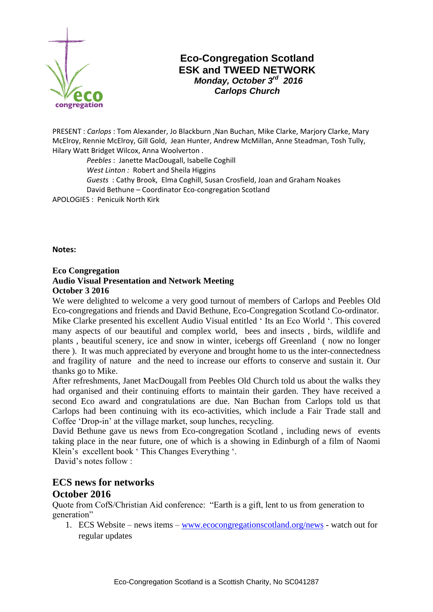

## **Eco-Congregation Scotland ESK and TWEED NETWORK** *Monday, October 3rd 2016 Carlops Church*

PRESENT : *Carlops* : Tom Alexander, Jo Blackburn ,Nan Buchan, Mike Clarke, Marjory Clarke, Mary McElroy, Rennie McElroy, Gill Gold, Jean Hunter, Andrew McMillan, Anne Steadman, Tosh Tully, Hilary Watt Bridget Wilcox, Anna Woolverton .

 *Peebles* : Janette MacDougall, Isabelle Coghill  *West Linton :* Robert and Sheila Higgins  *Guests* : Cathy Brook, Elma Coghill, Susan Crosfield, Joan and Graham Noakes David Bethune – Coordinator Eco-congregation Scotland APOLOGIES : Penicuik North Kirk

**Notes:**

## **Eco Congregation Audio Visual Presentation and Network Meeting October 3 2016**

We were delighted to welcome a very good turnout of members of Carlops and Peebles Old Eco-congregations and friends and David Bethune, Eco-Congregation Scotland Co-ordinator. Mike Clarke presented his excellent Audio Visual entitled ' Its an Eco World '. This covered many aspects of our beautiful and complex world, bees and insects , birds, wildlife and plants , beautiful scenery, ice and snow in winter, icebergs off Greenland ( now no longer there ). It was much appreciated by everyone and brought home to us the inter-connectedness and fragility of nature and the need to increase our efforts to conserve and sustain it. Our thanks go to Mike.

After refreshments, Janet MacDougall from Peebles Old Church told us about the walks they had organised and their continuing efforts to maintain their garden. They have received a second Eco award and congratulations are due. Nan Buchan from Carlops told us that Carlops had been continuing with its eco-activities, which include a Fair Trade stall and Coffee 'Drop-in' at the village market, soup lunches, recycling.

David Bethune gave us news from Eco-congregation Scotland , including news of events taking place in the near future, one of which is a showing in Edinburgh of a film of Naomi Klein's excellent book ' This Changes Everything '.

David's notes follow :

## **ECS news for networks October 2016**

Quote from CofS/Christian Aid conference: "Earth is a gift, lent to us from generation to generation"

1. ECS Website – news items – [www.ecocongregationscotland.org/news](http://www.ecocongregationscotland.org/news) - watch out for regular updates